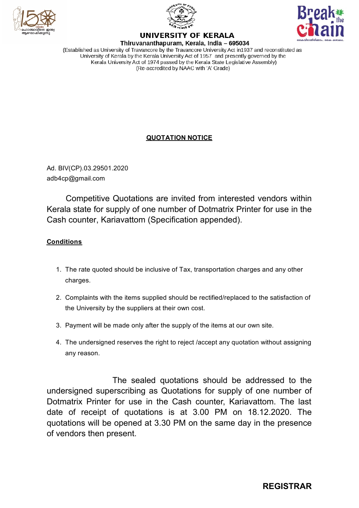





## **UNIVERSITY OF KERALA**

Thiruvananthapuram, Kerala, India - 695034 (Established as University of Travancore by the Travancore University Act in 1937 and reconstituted as University of Kerala by the Kerala University Act of 1957 and presently governed by the Kerala University Act of 1974 passed by the Kerala State Legislative Assembly) (Re-accredited by NAAC with 'A' Grade)

## **QUOTATION NOTICE**

Ad. BIV(CP).03.29501.2020 adb4cp@gmail.com

Competitive Quotations are invited from interested vendors within Kerala state for supply of one number of Dotmatrix Printer for use in the Cash counter, Kariavattom (Specification appended).

## **Conditions**

- 1. The rate quoted should be inclusive of Tax, transportation charges and any other charges.
- 2. Complaints with the items supplied should be rectified/replaced to the satisfaction of the University by the suppliers at their own cost.
- 3. Payment will be made only after the supply of the items at our own site.
- 4. The undersigned reserves the right to reject /accept any quotation without assigning any reason.

The sealed quotations should be addressed to the undersigned superscribing as Quotations for supply of one number of Dotmatrix Printer for use in the Cash counter, Kariavattom. The last date of receipt of quotations is at 3.00 PM on 18.12.2020. The quotations will be opened at 3.30 PM on the same day in the presence of vendors then present.